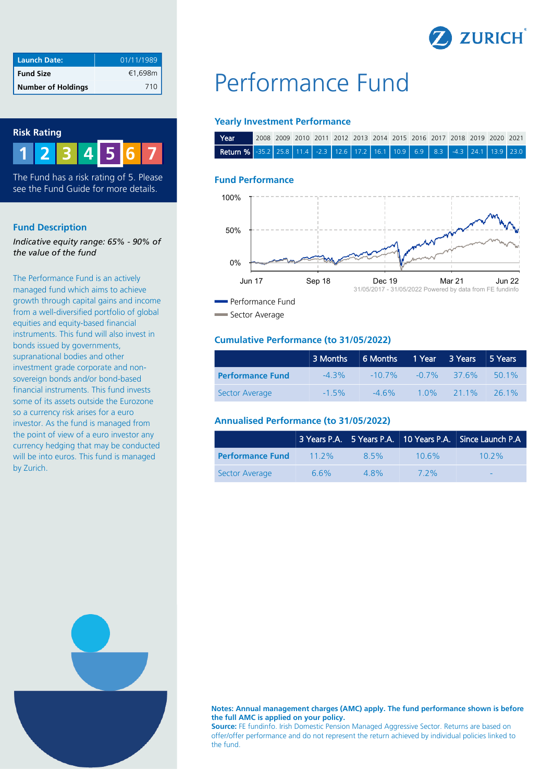

| <b>Launch Date:</b>       | 01/11/1989 |
|---------------------------|------------|
| <b>Fund Size</b>          | €1,698m    |
| <b>Number of Holdings</b> | 710        |

## **Risk Rating**



The Fund has a risk rating of 5. Please see the Fund Guide for more details.

## **Fund Description**

*Indicative equity range: 65% - 90% of the value of the fund*

The Performance Fund is an actively managed fund which aims to achieve growth through capital gains and income from a well-diversified portfolio of global equities and equity-based financial instruments. This fund will also invest in bonds issued by governments, supranational bodies and other investment grade corporate and nonsovereign bonds and/or bond-based financial instruments. This fund invests some of its assets outside the Eurozone so a currency risk arises for a euro investor. As the fund is managed from the point of view of a euro investor any currency hedging that may be conducted will be into euros. This fund is managed by Zurich.

# Performance Fund

## **Yearly Investment Performance**

| Year                                                                                 | 2008 2009 2010 2011 2012 2013 2014 2015 2016 2017 2018 2019 2020 2021 |  |  |  |  |  |  |  |
|--------------------------------------------------------------------------------------|-----------------------------------------------------------------------|--|--|--|--|--|--|--|
| <b>Return %</b> -35.2 25.8 11.4 -2.3 12.6 17.2 16.1 10.9 6.9 8.3 -4.3 24.1 13.9 23.0 |                                                                       |  |  |  |  |  |  |  |

## **Fund Performance**



Sector Average

## **Cumulative Performance (to 31/05/2022)**

|                         | 3 Months 6 Months 1 Year 3 Years 5 Years |                          |          |         |          |
|-------------------------|------------------------------------------|--------------------------|----------|---------|----------|
| <b>Performance Fund</b> | $-4.3\%$                                 | $-10.7\%$ $-0.7\%$ 37.6% |          |         | 501%     |
| Sector Average          | $-1.5\%$                                 | $-4.6\%$                 | $-1.0\%$ | $211\%$ | $-261\%$ |

## **Annualised Performance (to 31/05/2022)**

|                         |          |         |          | 3 Years P.A. 5 Years P.A. 10 Years P.A. Since Launch P.A |
|-------------------------|----------|---------|----------|----------------------------------------------------------|
| <b>Performance Fund</b> | $11.2\%$ | 8.5%    | $10.6\%$ | $10.2\%$                                                 |
| Sector Average          | 66%      | $4.8\%$ | 7 2%     | $\overline{\phantom{0}}$                                 |



#### **Notes: Annual management charges (AMC) apply. The fund performance shown is before the full AMC is applied on your policy.**

**Source:** FE fundinfo. Irish Domestic Pension Managed Aggressive Sector. Returns are based on offer/offer performance and do not represent the return achieved by individual policies linked to the fund.